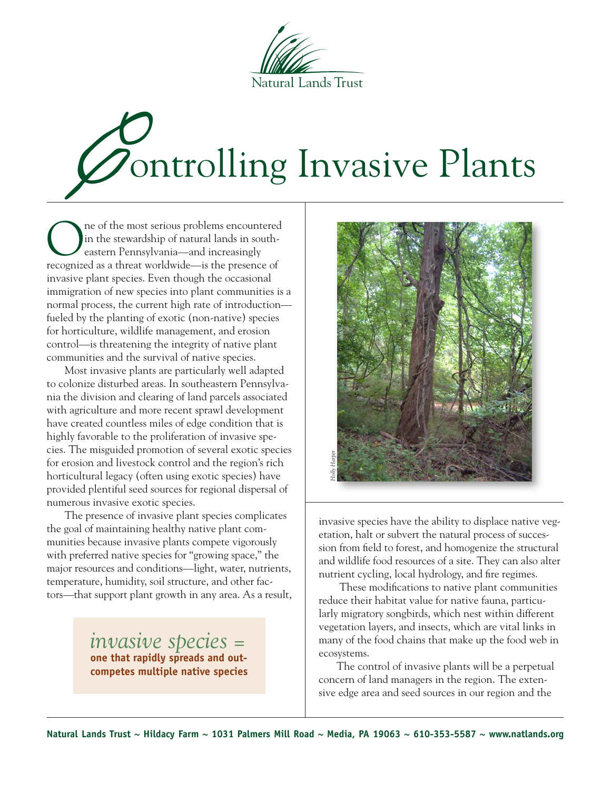

# 'ontrolling Invasive Plants

ne of the most serious problems encountered in the stewardship of natural lands in southeastern Pennsylvania—and increasingly recognized as a threat worldwide—is the presence of invasive plant species. Even though the occasional immigration of new species into plant communities is a normal process, the current high rate of introduction fueled by the planting of exotic (non-native) species for horticulture, wildlife management, and erosion control—is threatening the integrity of native plant communities and the survival of native species.

Most invasive plants are particularly well adapted to colonize disturbed areas. In southeastern Pennsylvania the division and clearing of land parcels associated with agriculture and more recent sprawl development have created countless miles of edge condition that is highly favorable to the proliferation of invasive species. The misguided promotion of several exotic species for erosion and livestock control and the region's rich horticultural legacy (often using exotic species) have provided plentiful seed sources for regional dispersal of numerous invasive exotic species.

The presence of invasive plant species complicates the goal of maintaining healthy native plant communities because invasive plants compete vigorously with preferred native species for "growing space," the major resources and conditions—light, water, nutrients, temperature, humidity, soil structure, and other factors—that support plant growth in any area. As a result,

> *invasive species =* **one that rapidly spreads and outcompetes multiple native species**



invasive species have the ability to displace native vegetation, halt or subvert the natural process of succession from field to forest, and homogenize the structural and wildlife food resources of a site. They can also alter nutrient cycling, local hydrology, and fire regimes.

 These modifications to native plant communities reduce their habitat value for native fauna, particularly migratory songbirds, which nest within different vegetation layers, and insects, which are vital links in many of the food chains that make up the food web in ecosystems. sive species have the ability to displace native vegetation, halt or subvert the natural process of succession from field to forest, and homogenize the structure and wildlife food resources of a site. They can also alte nu

The control of invasive plants will be a perpetual concern of land managers in the region. The exten-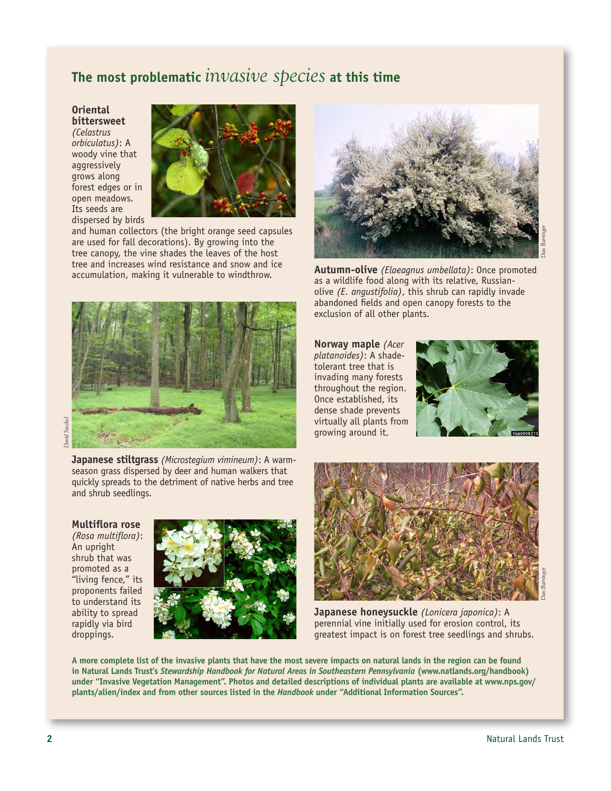# **The most problematic** *invasive species* **at this time**

**Oriental bittersweet** *(Celastrus orbiculatus)*: A woody vine that aggressively grows along forest edges or in open meadows. Its seeds are dispersed by birds



and human collectors (the bright orange seed capsules are used for fall decorations). By growing into the tree canopy, the vine shades the leaves of the host tree and increases wind resistance and snow and ice



**David Steckel** *David Steckel*

> **Japanese stiltgrass** *(Microstegium vimineum)*: A warmseason grass dispersed by deer and human walkers that quickly spreads to the detriment of native herbs and tree and shrub seedlings.

### **Multiflora rose**

*(Rosa multiflora)*: An upright shrub that was promoted as a "living fence," its proponents failed to understand its ability to spread rapidly via bird droppings.





accumulation, making it vulnerable to windthrow. **Autumn-olive** *(Elaeagnus umbellata)*: Once promoted as a wildlife food along with its relative, Russianolive *(E. angustifolia)*, this shrub can rapidly invade abandoned fields and open canopy forests to the exclusion of all other plants.

> **Norway maple** *(Acer platanoides)*: A shadetolerant tree that is invading many forests throughout the region. Once established, its dense shade prevents virtually all plants from growing around it.





**Japanese honeysuckle** *(Lonicera japonica)*: A perennial vine initially used for erosion control, its greatest impact is on forest tree seedlings and shrubs.

**A more complete list of the invasive plants that have the most severe impacts on natural lands in the region can be found in Natural Lands Trust's** *Stewardship Handbook for Natural Areas in Southeastern Pennsylvania* **(www.natlands.org/handbook) under "Invasive Vegetation Management". Photos and detailed descriptions of individual plants are available at www.nps.gov/ plants/alien/index and from other sources listed in the** *Handbook* **under "Additional Information Sources".**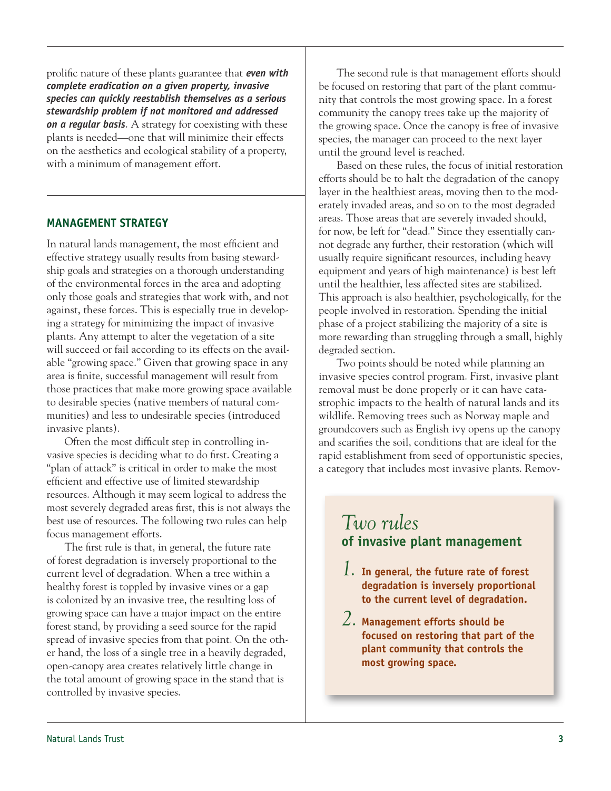prolific nature of these plants guarantee that *even with complete eradication on a given property, invasive species can quickly reestablish themselves as a serious stewardship problem if not monitored and addressed on a regular basis*. A strategy for coexisting with these plants is needed—one that will minimize their effects on the aesthetics and ecological stability of a property, with a minimum of management effort.

### **MANAGEMENT STRATEGY**

In natural lands management, the most efficient and effective strategy usually results from basing stewardship goals and strategies on a thorough understanding of the environmental forces in the area and adopting only those goals and strategies that work with, and not against, these forces. This is especially true in developing a strategy for minimizing the impact of invasive plants. Any attempt to alter the vegetation of a site will succeed or fail according to its effects on the available "growing space." Given that growing space in any area is finite, successful management will result from those practices that make more growing space available to desirable species (native members of natural communities) and less to undesirable species (introduced invasive plants).

Often the most difficult step in controlling invasive species is deciding what to do first. Creating a "plan of attack" is critical in order to make the most efficient and effective use of limited stewardship resources. Although it may seem logical to address the most severely degraded areas first, this is not always the best use of resources. The following two rules can help focus management efforts.

The first rule is that, in general, the future rate of forest degradation is inversely proportional to the current level of degradation. When a tree within a healthy forest is toppled by invasive vines or a gap is colonized by an invasive tree, the resulting loss of growing space can have a major impact on the entire forest stand, by providing a seed source for the rapid spread of invasive species from that point. On the other hand, the loss of a single tree in a heavily degraded, open-canopy area creates relatively little change in the total amount of growing space in the stand that is controlled by invasive species.

The second rule is that management efforts should be focused on restoring that part of the plant community that controls the most growing space. In a forest community the canopy trees take up the majority of the growing space. Once the canopy is free of invasive species, the manager can proceed to the next layer until the ground level is reached.

Based on these rules, the focus of initial restoration efforts should be to halt the degradation of the canopy layer in the healthiest areas, moving then to the moderately invaded areas, and so on to the most degraded areas. Those areas that are severely invaded should, for now, be left for "dead." Since they essentially cannot degrade any further, their restoration (which will usually require significant resources, including heavy equipment and years of high maintenance) is best left until the healthier, less affected sites are stabilized. This approach is also healthier, psychologically, for the people involved in restoration. Spending the initial phase of a project stabilizing the majority of a site is more rewarding than struggling through a small, highly degraded section.

Two points should be noted while planning an invasive species control program. First, invasive plant removal must be done properly or it can have catastrophic impacts to the health of natural lands and its wildlife. Removing trees such as Norway maple and groundcovers such as English ivy opens up the canopy and scarifies the soil, conditions that are ideal for the rapid establishment from seed of opportunistic species, a category that includes most invasive plants. Remov-

# *Two rules* **of invasive plant management**

- *1.* **In general, the future rate of forest degradation is inversely proportional to the current level of degradation.**
- *2.* **Management efforts should be focused on restoring that part of the plant community that controls the most growing space.**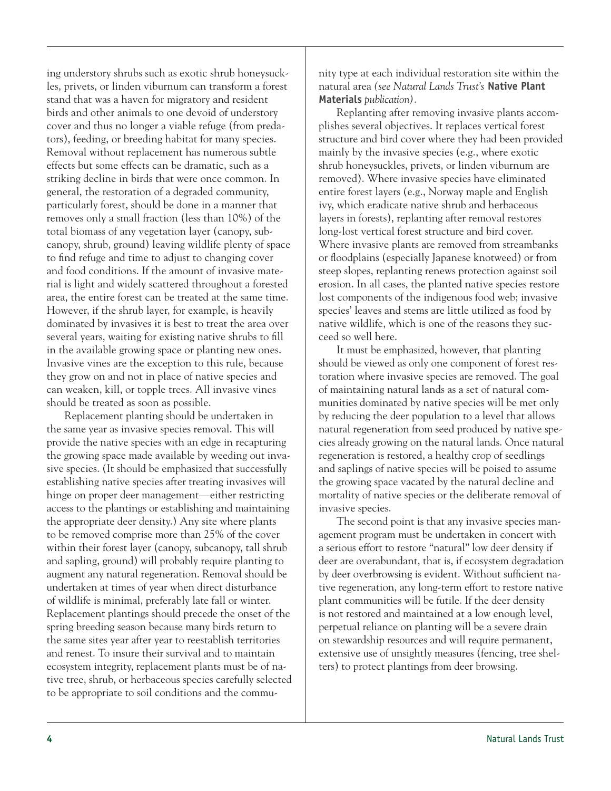ing understory shrubs such as exotic shrub honeysuckles, privets, or linden viburnum can transform a forest stand that was a haven for migratory and resident birds and other animals to one devoid of understory cover and thus no longer a viable refuge (from predators), feeding, or breeding habitat for many species. Removal without replacement has numerous subtle effects but some effects can be dramatic, such as a striking decline in birds that were once common. In general, the restoration of a degraded community, particularly forest, should be done in a manner that removes only a small fraction (less than 10%) of the total biomass of any vegetation layer (canopy, subcanopy, shrub, ground) leaving wildlife plenty of space to find refuge and time to adjust to changing cover and food conditions. If the amount of invasive material is light and widely scattered throughout a forested area, the entire forest can be treated at the same time. However, if the shrub layer, for example, is heavily dominated by invasives it is best to treat the area over several years, waiting for existing native shrubs to fill in the available growing space or planting new ones. Invasive vines are the exception to this rule, because they grow on and not in place of native species and can weaken, kill, or topple trees. All invasive vines should be treated as soon as possible.

Replacement planting should be undertaken in the same year as invasive species removal. This will provide the native species with an edge in recapturing the growing space made available by weeding out invasive species. (It should be emphasized that successfully establishing native species after treating invasives will hinge on proper deer management—either restricting access to the plantings or establishing and maintaining the appropriate deer density.) Any site where plants to be removed comprise more than 25% of the cover within their forest layer (canopy, subcanopy, tall shrub and sapling, ground) will probably require planting to augment any natural regeneration. Removal should be undertaken at times of year when direct disturbance of wildlife is minimal, preferably late fall or winter. Replacement plantings should precede the onset of the spring breeding season because many birds return to the same sites year after year to reestablish territories and renest. To insure their survival and to maintain ecosystem integrity, replacement plants must be of native tree, shrub, or herbaceous species carefully selected to be appropriate to soil conditions and the community type at each individual restoration site within the natural area *(see Natural Lands Trust's* **Native Plant Materials** *publication)*.

Replanting after removing invasive plants accomplishes several objectives. It replaces vertical forest structure and bird cover where they had been provided mainly by the invasive species (e.g., where exotic shrub honeysuckles, privets, or linden viburnum are removed). Where invasive species have eliminated entire forest layers (e.g., Norway maple and English ivy, which eradicate native shrub and herbaceous layers in forests), replanting after removal restores long-lost vertical forest structure and bird cover. Where invasive plants are removed from streambanks or floodplains (especially Japanese knotweed) or from steep slopes, replanting renews protection against soil erosion. In all cases, the planted native species restore lost components of the indigenous food web; invasive species' leaves and stems are little utilized as food by native wildlife, which is one of the reasons they succeed so well here.

It must be emphasized, however, that planting should be viewed as only one component of forest restoration where invasive species are removed. The goal of maintaining natural lands as a set of natural communities dominated by native species will be met only by reducing the deer population to a level that allows natural regeneration from seed produced by native species already growing on the natural lands. Once natural regeneration is restored, a healthy crop of seedlings and saplings of native species will be poised to assume the growing space vacated by the natural decline and mortality of native species or the deliberate removal of invasive species.

The second point is that any invasive species management program must be undertaken in concert with a serious effort to restore "natural" low deer density if deer are overabundant, that is, if ecosystem degradation by deer overbrowsing is evident. Without sufficient native regeneration, any long-term effort to restore native plant communities will be futile. If the deer density is not restored and maintained at a low enough level, perpetual reliance on planting will be a severe drain on stewardship resources and will require permanent, extensive use of unsightly measures (fencing, tree shelters) to protect plantings from deer browsing.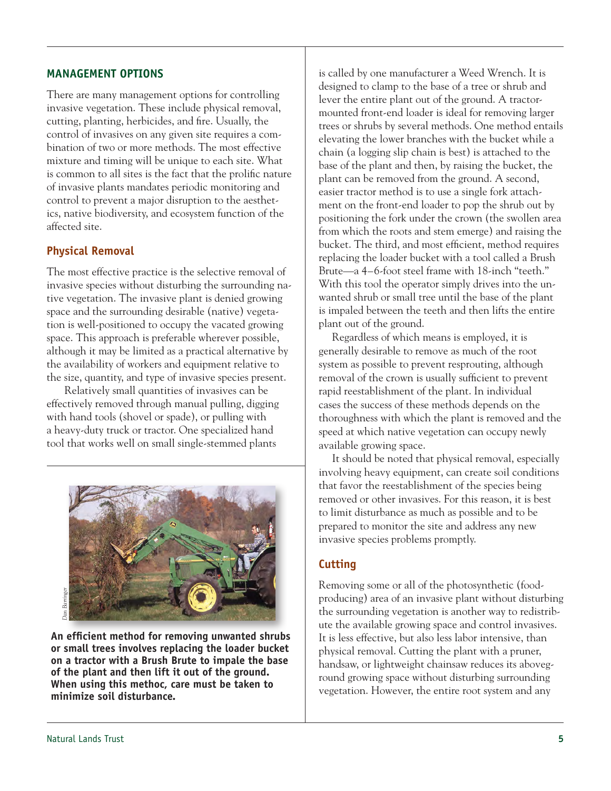### **MANAGEMENT OPTIONS**

There are many management options for controlling invasive vegetation. These include physical removal, cutting, planting, herbicides, and fire. Usually, the control of invasives on any given site requires a combination of two or more methods. The most effective mixture and timing will be unique to each site. What is common to all sites is the fact that the prolific nature of invasive plants mandates periodic monitoring and control to prevent a major disruption to the aesthetics, native biodiversity, and ecosystem function of the affected site.

### **Physical Removal**

The most effective practice is the selective removal of invasive species without disturbing the surrounding native vegetation. The invasive plant is denied growing space and the surrounding desirable (native) vegetation is well-positioned to occupy the vacated growing space. This approach is preferable wherever possible, although it may be limited as a practical alternative by the availability of workers and equipment relative to the size, quantity, and type of invasive species present.

Relatively small quantities of invasives can be effectively removed through manual pulling, digging with hand tools (shovel or spade), or pulling with a heavy-duty truck or tractor. One specialized hand tool that works well on small single-stemmed plants



**An efficient method for removing unwanted shrubs or small trees involves replacing the loader bucket on a tractor with a Brush Brute to impale the base of the plant and then lift it out of the ground. When using this methoc, care must be taken to minimize soil disturbance.**

is called by one manufacturer a Weed Wrench. It is designed to clamp to the base of a tree or shrub and lever the entire plant out of the ground. A tractormounted front-end loader is ideal for removing larger trees or shrubs by several methods. One method entails elevating the lower branches with the bucket while a chain (a logging slip chain is best) is attached to the base of the plant and then, by raising the bucket, the plant can be removed from the ground. A second, easier tractor method is to use a single fork attachment on the front-end loader to pop the shrub out by positioning the fork under the crown (the swollen area from which the roots and stem emerge) and raising the bucket. The third, and most efficient, method requires replacing the loader bucket with a tool called a Brush Brute—a 4–6-foot steel frame with 18-inch "teeth." With this tool the operator simply drives into the unwanted shrub or small tree until the base of the plant is impaled between the teeth and then lifts the entire plant out of the ground.

Regardless of which means is employed, it is generally desirable to remove as much of the root system as possible to prevent resprouting, although removal of the crown is usually sufficient to prevent rapid reestablishment of the plant. In individual cases the success of these methods depends on the thoroughness with which the plant is removed and the speed at which native vegetation can occupy newly available growing space.

It should be noted that physical removal, especially involving heavy equipment, can create soil conditions that favor the reestablishment of the species being removed or other invasives. For this reason, it is best to limit disturbance as much as possible and to be prepared to monitor the site and address any new invasive species problems promptly.

### **Cutting**

Removing some or all of the photosynthetic (foodproducing) area of an invasive plant without disturbing the surrounding vegetation is another way to redistribute the available growing space and control invasives. It is less effective, but also less labor intensive, than physical removal. Cutting the plant with a pruner, handsaw, or lightweight chainsaw reduces its aboveground growing space without disturbing surrounding vegetation. However, the entire root system and any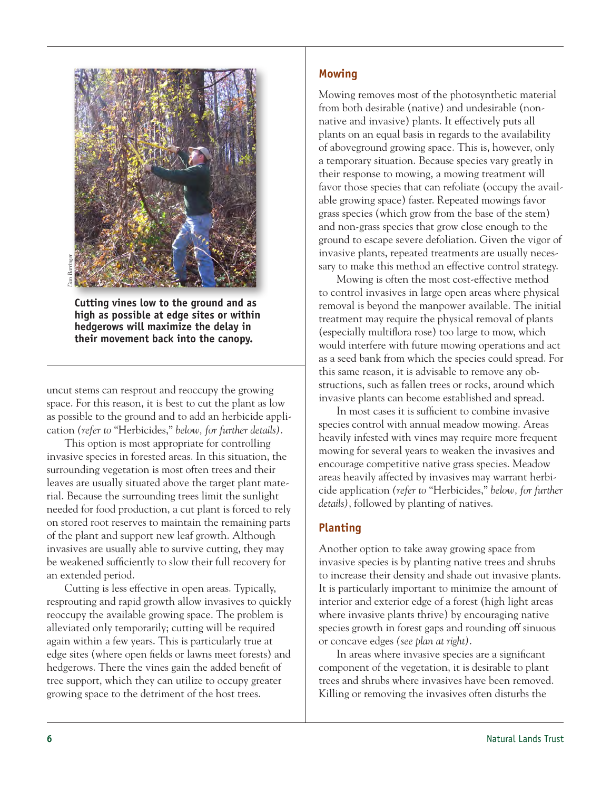

**Cutting vines low to the ground and as high as possible at edge sites or within hedgerows will maximize the delay in their movement back into the canopy.**

uncut stems can resprout and reoccupy the growing space. For this reason, it is best to cut the plant as low as possible to the ground and to add an herbicide application *(refer to* "Herbicides," *below, for further details)*.

This option is most appropriate for controlling invasive species in forested areas. In this situation, the surrounding vegetation is most often trees and their leaves are usually situated above the target plant material. Because the surrounding trees limit the sunlight needed for food production, a cut plant is forced to rely on stored root reserves to maintain the remaining parts of the plant and support new leaf growth. Although invasives are usually able to survive cutting, they may be weakened sufficiently to slow their full recovery for an extended period.

Cutting is less effective in open areas. Typically, resprouting and rapid growth allow invasives to quickly reoccupy the available growing space. The problem is alleviated only temporarily; cutting will be required again within a few years. This is particularly true at edge sites (where open fields or lawns meet forests) and hedgerows. There the vines gain the added benefit of tree support, which they can utilize to occupy greater growing space to the detriment of the host trees.

### **Mowing**

Mowing removes most of the photosynthetic material from both desirable (native) and undesirable (nonnative and invasive) plants. It effectively puts all plants on an equal basis in regards to the availability of aboveground growing space. This is, however, only a temporary situation. Because species vary greatly in their response to mowing, a mowing treatment will favor those species that can refoliate (occupy the available growing space) faster. Repeated mowings favor grass species (which grow from the base of the stem) and non-grass species that grow close enough to the ground to escape severe defoliation. Given the vigor of invasive plants, repeated treatments are usually necessary to make this method an effective control strategy.

Mowing is often the most cost-effective method to control invasives in large open areas where physical removal is beyond the manpower available. The initial treatment may require the physical removal of plants (especially multiflora rose) too large to mow, which would interfere with future mowing operations and act as a seed bank from which the species could spread. For this same reason, it is advisable to remove any obstructions, such as fallen trees or rocks, around which invasive plants can become established and spread.

In most cases it is sufficient to combine invasive species control with annual meadow mowing. Areas heavily infested with vines may require more frequent mowing for several years to weaken the invasives and encourage competitive native grass species. Meadow areas heavily affected by invasives may warrant herbicide application *(refer to* "Herbicides," *below, for further details)*, followed by planting of natives.

### **Planting**

Another option to take away growing space from invasive species is by planting native trees and shrubs to increase their density and shade out invasive plants. It is particularly important to minimize the amount of interior and exterior edge of a forest (high light areas where invasive plants thrive) by encouraging native species growth in forest gaps and rounding off sinuous or concave edges *(see plan at right)*.

In areas where invasive species are a significant component of the vegetation, it is desirable to plant trees and shrubs where invasives have been removed. Killing or removing the invasives often disturbs the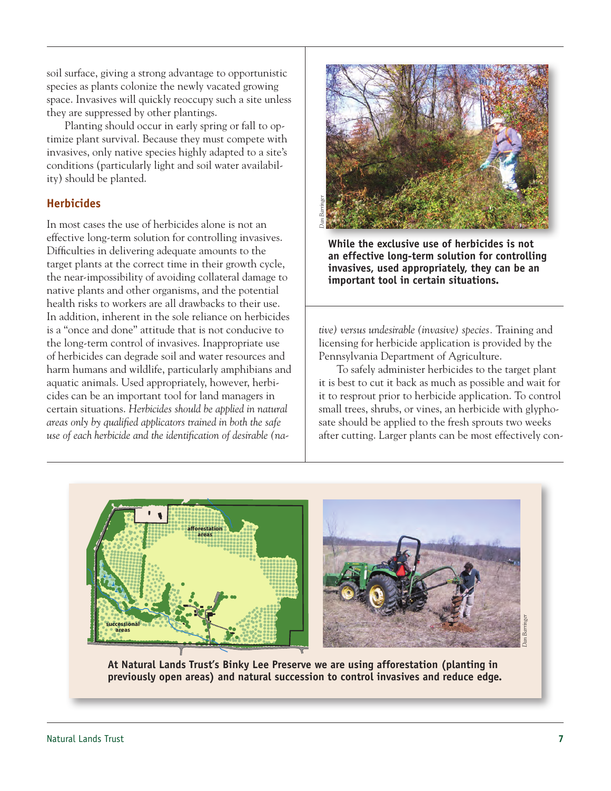soil surface, giving a strong advantage to opportunistic species as plants colonize the newly vacated growing space. Invasives will quickly reoccupy such a site unless they are suppressed by other plantings.

Planting should occur in early spring or fall to optimize plant survival. Because they must compete with invasives, only native species highly adapted to a site's conditions (particularly light and soil water availability) should be planted.

## **Herbicides**

In most cases the use of herbicides alone is not an effective long-term solution for controlling invasives. Difficulties in delivering adequate amounts to the target plants at the correct time in their growth cycle, the near-impossibility of avoiding collateral damage to native plants and other organisms, and the potential health risks to workers are all drawbacks to their use. In addition, inherent in the sole reliance on herbicides is a "once and done" attitude that is not conducive to the long-term control of invasives. Inappropriate use of herbicides can degrade soil and water resources and harm humans and wildlife, particularly amphibians and aquatic animals. Used appropriately, however, herbicides can be an important tool for land managers in certain situations. *Herbicides should be applied in natural areas only by qualified applicators trained in both the safe use of each herbicide and the identification of desirable (na-*



**While the exclusive use of herbicides is not an effective long-term solution for controlling invasives, used appropriately, they can be an important tool in certain situations.**

*tive) versus undesirable (invasive) species.* Training and licensing for herbicide application is provided by the Pennsylvania Department of Agriculture.

To safely administer herbicides to the target plant it is best to cut it back as much as possible and wait for it to resprout prior to herbicide application. To control small trees, shrubs, or vines, an herbicide with glyphosate should be applied to the fresh sprouts two weeks after cutting. Larger plants can be most effectively con-



**At Natural Lands Trust's Binky Lee Preserve we are using afforestation (planting in**